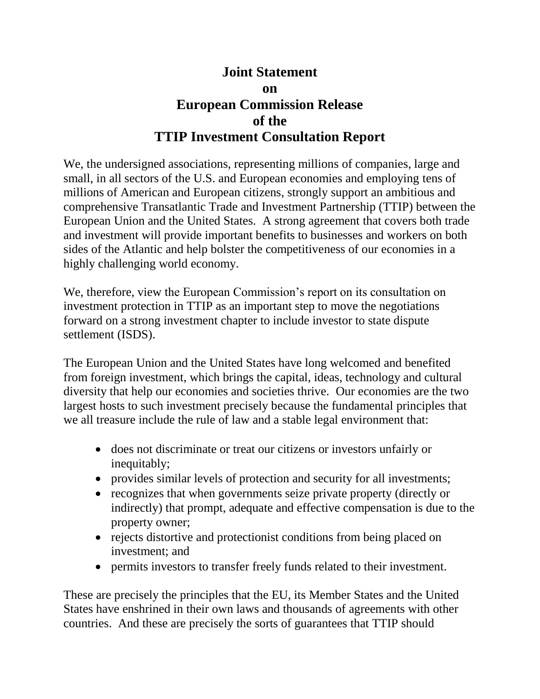## **Joint Statement on European Commission Release of the TTIP Investment Consultation Report**

We, the undersigned associations, representing millions of companies, large and small, in all sectors of the U.S. and European economies and employing tens of millions of American and European citizens, strongly support an ambitious and comprehensive Transatlantic Trade and Investment Partnership (TTIP) between the European Union and the United States. A strong agreement that covers both trade and investment will provide important benefits to businesses and workers on both sides of the Atlantic and help bolster the competitiveness of our economies in a highly challenging world economy.

We, therefore, view the European Commission's report on its consultation on investment protection in TTIP as an important step to move the negotiations forward on a strong investment chapter to include investor to state dispute settlement (ISDS).

The European Union and the United States have long welcomed and benefited from foreign investment, which brings the capital, ideas, technology and cultural diversity that help our economies and societies thrive. Our economies are the two largest hosts to such investment precisely because the fundamental principles that we all treasure include the rule of law and a stable legal environment that:

- does not discriminate or treat our citizens or investors unfairly or inequitably;
- provides similar levels of protection and security for all investments;
- recognizes that when governments seize private property (directly or indirectly) that prompt, adequate and effective compensation is due to the property owner;
- rejects distortive and protectionist conditions from being placed on investment; and
- permits investors to transfer freely funds related to their investment.

These are precisely the principles that the EU, its Member States and the United States have enshrined in their own laws and thousands of agreements with other countries. And these are precisely the sorts of guarantees that TTIP should